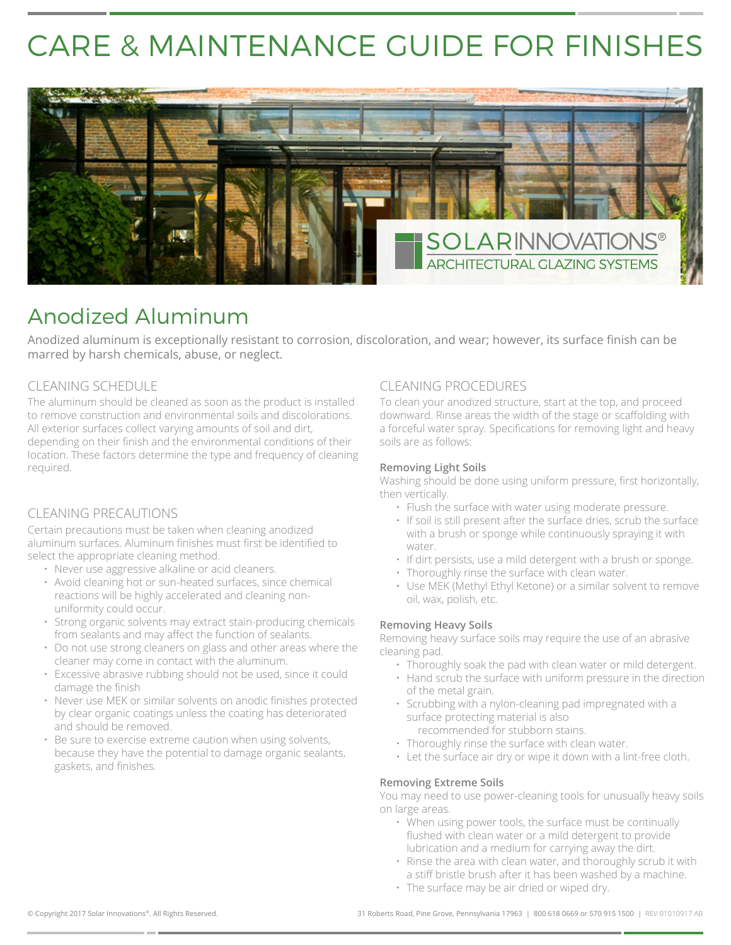# CARE & MAINTENANCE GUIDE FOR FINISHES



# Anodized Aluminum

Anodized aluminum is exceptionally resistant to corrosion, discoloration, and wear; however, its surface finish can be marred by harsh chemicals, abuse, or neglect.

## CLEANING SCHEDULE

The aluminum should be cleaned as soon as the product is installed to remove construction and environmental soils and discolorations. All exterior surfaces collect varying amounts of soil and dirt, depending on their finish and the environmental conditions of their location. These factors determine the type and frequency of cleaning required.

## CLEANING PRECAUTIONS

Certain precautions must be taken when cleaning anodized aluminum surfaces. Aluminum finishes must first be identified to select the appropriate cleaning method.

- Never use aggressive alkaline or acid cleaners.
- Avoid cleaning hot or sun-heated surfaces, since chemical reactions will be highly accelerated and cleaning nonuniformity could occur.
- Strong organic solvents may extract stain-producing chemicals from sealants and may affect the function of sealants.
- Do not use strong cleaners on glass and other areas where the cleaner may come in contact with the aluminum.
- Excessive abrasive rubbing should not be used, since it could damage the finish
- Never use MEK or similar solvents on anodic finishes protected by clear organic coatings unless the coating has deteriorated and should be removed.
- Be sure to exercise extreme caution when using solvents, because they have the potential to damage organic sealants, gaskets, and finishes.

#### CLEANING PROCEDURES

To clean your anodized structure, start at the top, and proceed downward. Rinse areas the width of the stage or scaffolding with a forceful water spray. Specifications for removing light and heavy soils are as follows:

#### **Removing Light Soils**

Washing should be done using uniform pressure, first horizontally, then vertically.

- Flush the surface with water using moderate pressure.
- If soil is still present after the surface dries, scrub the surface with a brush or sponge while continuously spraying it with water.
- If dirt persists, use a mild detergent with a brush or sponge.
- Thoroughly rinse the surface with clean water.
- Use MEK (Methyl Ethyl Ketone) or a similar solvent to remove oil, wax, polish, etc.

#### **Removing Heavy Soils**

Removing heavy surface soils may require the use of an abrasive cleaning pad.

- Thoroughly soak the pad with clean water or mild detergent.
- Hand scrub the surface with uniform pressure in the direction of the metal grain.
- Scrubbing with a nylon-cleaning pad impregnated with a surface protecting material is also recommended for stubborn stains.
- Thoroughly rinse the surface with clean water.
- Let the surface air dry or wipe it down with a lint-free cloth.

#### **Removing Extreme Soils**

You may need to use power-cleaning tools for unusually heavy soils on large areas.

- When using power tools, the surface must be continually flushed with clean water or a mild detergent to provide lubrication and a medium for carrying away the dirt.
- Rinse the area with clean water, and thoroughly scrub it with a stiff bristle brush after it has been washed by a machine.
- The surface may be air dried or wiped dry.

© Copyright 2017 Solar Innovations®. All Rights Reserved. 31 Roberts Road, Pine Grove, Pennsylvania 17963 | 800 618 0669 or 570 915 1500 | REV 01010917 AB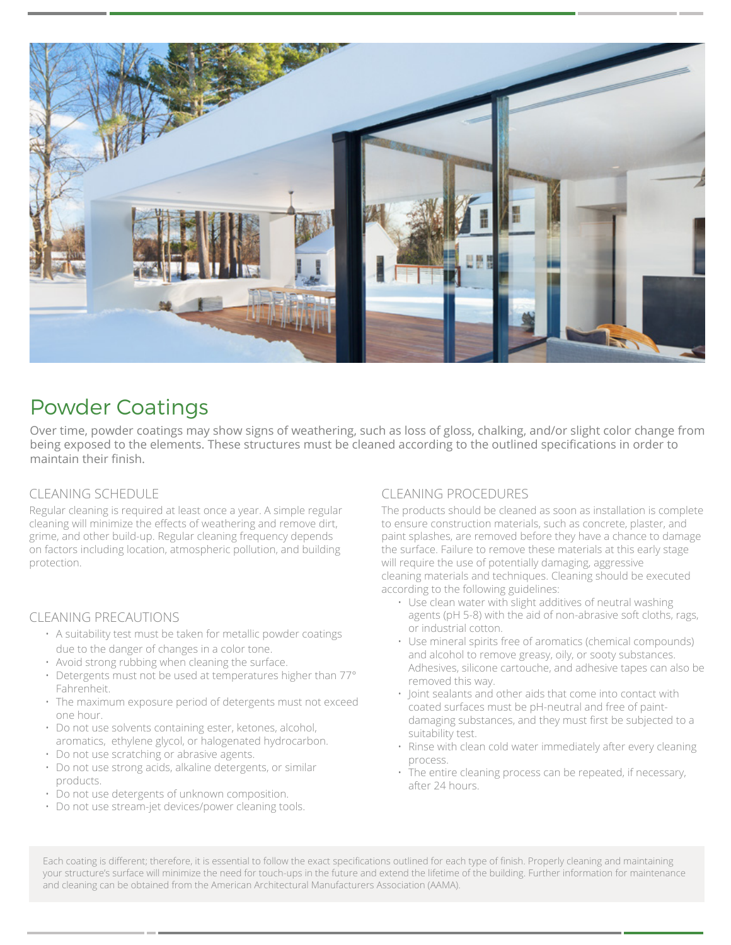

# Powder Coatings

Over time, powder coatings may show signs of weathering, such as loss of gloss, chalking, and/or slight color change from being exposed to the elements. These structures must be cleaned according to the outlined specifications in order to maintain their finish.

## CLEANING SCHEDULE

Regular cleaning is required at least once a year. A simple regular cleaning will minimize the effects of weathering and remove dirt, grime, and other build-up. Regular cleaning frequency depends on factors including location, atmospheric pollution, and building protection.

## CLEANING PRECAUTIONS

- A suitability test must be taken for metallic powder coatings due to the danger of changes in a color tone.
- Avoid strong rubbing when cleaning the surface.
- Detergents must not be used at temperatures higher than 77° Fahrenheit.
- The maximum exposure period of detergents must not exceed one hour.
- Do not use solvents containing ester, ketones, alcohol, aromatics, ethylene glycol, or halogenated hydrocarbon.
- Do not use scratching or abrasive agents.
- Do not use strong acids, alkaline detergents, or similar products.
- Do not use detergents of unknown composition.
- Do not use stream-jet devices/power cleaning tools.

## CLEANING PROCEDURES

The products should be cleaned as soon as installation is complete to ensure construction materials, such as concrete, plaster, and paint splashes, are removed before they have a chance to damage the surface. Failure to remove these materials at this early stage will require the use of potentially damaging, aggressive cleaning materials and techniques. Cleaning should be executed according to the following guidelines:

- Use clean water with slight additives of neutral washing agents (pH 5-8) with the aid of non-abrasive soft cloths, rags, or industrial cotton.
- Use mineral spirits free of aromatics (chemical compounds) and alcohol to remove greasy, oily, or sooty substances. Adhesives, silicone cartouche, and adhesive tapes can also be removed this way.
- Joint sealants and other aids that come into contact with coated surfaces must be pH-neutral and free of paintdamaging substances, and they must first be subjected to a suitability test.
- Rinse with clean cold water immediately after every cleaning process.
- The entire cleaning process can be repeated, if necessary, after 24 hours.

Each coating is different; therefore, it is essential to follow the exact specifications outlined for each type of finish. Properly cleaning and maintaining your structure's surface will minimize the need for touch-ups in the future and extend the lifetime of the building. Further information for maintenance and cleaning can be obtained from the American Architectural Manufacturers Association (AAMA).